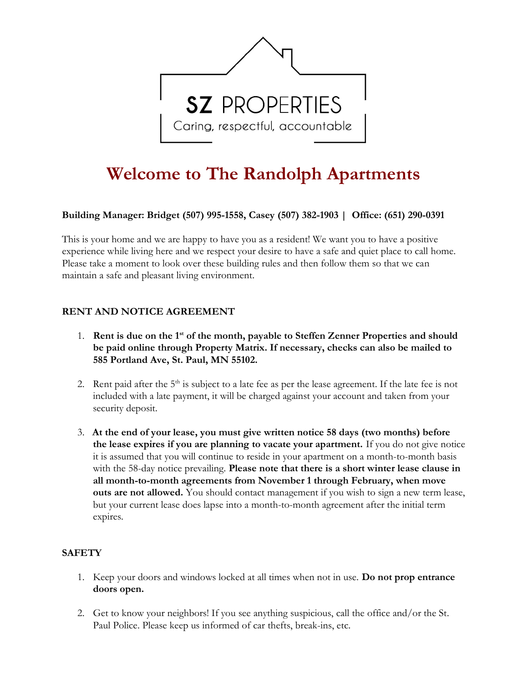

# Welcome to The Randolph Apartments

### Building Manager: **Bridget (507) 995-1558, Casey (507) 382-1903** | Office: (651) 290-0391

This is your home and we are happy to have you as a resident! We want you to have a positive experience while living here and we respect your desire to have a safe and quiet place to call home. Please take a moment to look over these building rules and then follow them so that we can maintain a safe and pleasant living environment.

### RENT AND NOTICE AGREEMENT

- 1. Rent is due on the  $1<sup>st</sup>$  of the month, payable to Steffen Zenner Properties and should be paid online through Property Matrix. If necessary, checks can also be mailed to 585 Portland Ave, St. Paul, MN 55102.
- 2. Rent paid after the  $5<sup>th</sup>$  is subject to a late fee as per the lease agreement. If the late fee is not included with a late payment, it will be charged against your account and taken from your security deposit.
- 3. At the end of your lease, you must give written notice 58 days (two months) before the lease expires if you are planning to vacate your apartment. If you do not give notice it is assumed that you will continue to reside in your apartment on a month-to-month basis with the 58-day notice prevailing. Please note that there is a short winter lease clause in all month-to-month agreements from November 1 through February, when move outs are not allowed. You should contact management if you wish to sign a new term lease, but your current lease does lapse into a month-to-month agreement after the initial term expires.

### **SAFETY**

- 1. Keep your doors and windows locked at all times when not in use. Do not prop entrance doors open.
- 2. Get to know your neighbors! If you see anything suspicious, call the office and/or the St. Paul Police. Please keep us informed of car thefts, break-ins, etc.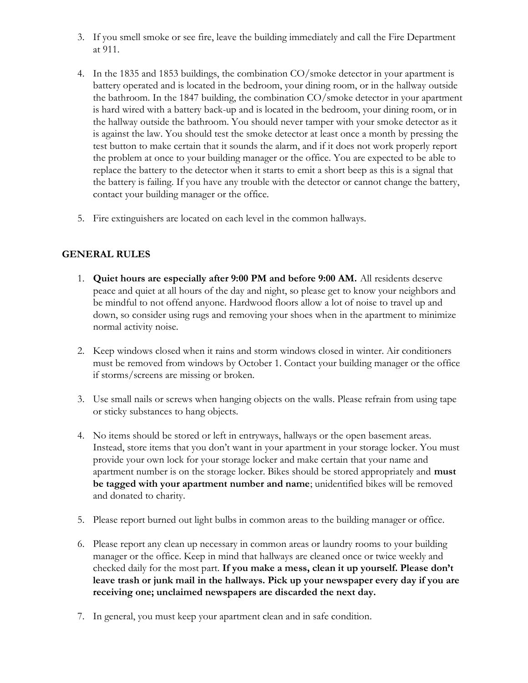- 3. If you smell smoke or see fire, leave the building immediately and call the Fire Department at 911.
- 4. In the 1835 and 1853 buildings, the combination CO/smoke detector in your apartment is battery operated and is located in the bedroom, your dining room, or in the hallway outside the bathroom. In the 1847 building, the combination CO/smoke detector in your apartment is hard wired with a battery back-up and is located in the bedroom, your dining room, or in the hallway outside the bathroom. You should never tamper with your smoke detector as it is against the law. You should test the smoke detector at least once a month by pressing the test button to make certain that it sounds the alarm, and if it does not work properly report the problem at once to your building manager or the office. You are expected to be able to replace the battery to the detector when it starts to emit a short beep as this is a signal that the battery is failing. If you have any trouble with the detector or cannot change the battery, contact your building manager or the office.
- 5. Fire extinguishers are located on each level in the common hallways.

### GENERAL RULES

- 1. Quiet hours are especially after 9:00 PM and before 9:00 AM. All residents deserve peace and quiet at all hours of the day and night, so please get to know your neighbors and be mindful to not offend anyone. Hardwood floors allow a lot of noise to travel up and down, so consider using rugs and removing your shoes when in the apartment to minimize normal activity noise.
- 2. Keep windows closed when it rains and storm windows closed in winter. Air conditioners must be removed from windows by October 1. Contact your building manager or the office if storms/screens are missing or broken.
- 3. Use small nails or screws when hanging objects on the walls. Please refrain from using tape or sticky substances to hang objects.
- 4. No items should be stored or left in entryways, hallways or the open basement areas. Instead, store items that you don't want in your apartment in your storage locker. You must provide your own lock for your storage locker and make certain that your name and apartment number is on the storage locker. Bikes should be stored appropriately and **must** be tagged with your apartment number and name; unidentified bikes will be removed and donated to charity.
- 5. Please report burned out light bulbs in common areas to the building manager or office.
- 6. Please report any clean up necessary in common areas or laundry rooms to your building manager or the office. Keep in mind that hallways are cleaned once or twice weekly and checked daily for the most part. If you make a mess, clean it up yourself. Please don't leave trash or junk mail in the hallways. Pick up your newspaper every day if you are receiving one; unclaimed newspapers are discarded the next day.
- 7. In general, you must keep your apartment clean and in safe condition.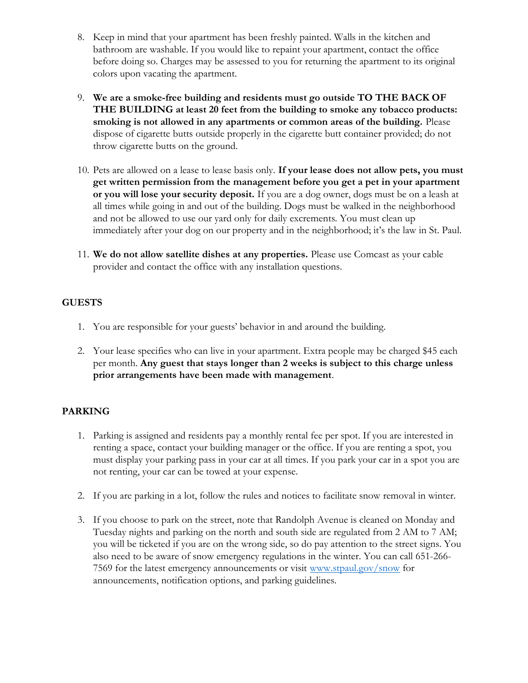- 8. Keep in mind that your apartment has been freshly painted. Walls in the kitchen and bathroom are washable. If you would like to repaint your apartment, contact the office before doing so. Charges may be assessed to you for returning the apartment to its original colors upon vacating the apartment.
- 9. We are a smoke-free building and residents must go outside TO THE BACK OF THE BUILDING at least 20 feet from the building to smoke any tobacco products: smoking is not allowed in any apartments or common areas of the building. Please dispose of cigarette butts outside properly in the cigarette butt container provided; do not throw cigarette butts on the ground.
- 10. Pets are allowed on a lease to lease basis only. If your lease does not allow pets, you must get written permission from the management before you get a pet in your apartment or you will lose your security deposit. If you are a dog owner, dogs must be on a leash at all times while going in and out of the building. Dogs must be walked in the neighborhood and not be allowed to use our yard only for daily excrements. You must clean up immediately after your dog on our property and in the neighborhood; it's the law in St. Paul.
- 11. We do not allow satellite dishes at any properties. Please use Comcast as your cable provider and contact the office with any installation questions.

#### **GUESTS**

- 1. You are responsible for your guests' behavior in and around the building.
- 2. Your lease specifies who can live in your apartment. Extra people may be charged \$45 each per month. Any guest that stays longer than 2 weeks is subject to this charge unless prior arrangements have been made with management.

### PARKING

- 1. Parking is assigned and residents pay a monthly rental fee per spot. If you are interested in renting a space, contact your building manager or the office. If you are renting a spot, you must display your parking pass in your car at all times. If you park your car in a spot you are not renting, your car can be towed at your expense.
- 2. If you are parking in a lot, follow the rules and notices to facilitate snow removal in winter.
- 3. If you choose to park on the street, note that Randolph Avenue is cleaned on Monday and Tuesday nights and parking on the north and south side are regulated from 2 AM to 7 AM; you will be ticketed if you are on the wrong side, so do pay attention to the street signs. You also need to be aware of snow emergency regulations in the winter. You can call 651-266- 7569 for the latest emergency announcements or visit www.stpaul.gov/snow for announcements, notification options, and parking guidelines.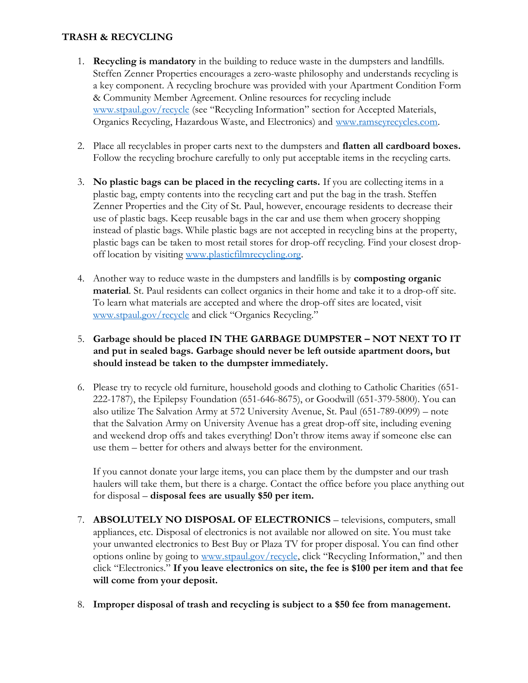#### TRASH & RECYCLING

- 1. Recycling is mandatory in the building to reduce waste in the dumpsters and landfills. Steffen Zenner Properties encourages a zero-waste philosophy and understands recycling is a key component. A recycling brochure was provided with your Apartment Condition Form & Community Member Agreement. Online resources for recycling include www.stpaul.gov/recycle (see "Recycling Information" section for Accepted Materials, Organics Recycling, Hazardous Waste, and Electronics) and www.ramseyrecycles.com.
- 2. Place all recyclables in proper carts next to the dumpsters and **flatten all cardboard boxes.** Follow the recycling brochure carefully to only put acceptable items in the recycling carts.
- 3. No plastic bags can be placed in the recycling carts. If you are collecting items in a plastic bag, empty contents into the recycling cart and put the bag in the trash. Steffen Zenner Properties and the City of St. Paul, however, encourage residents to decrease their use of plastic bags. Keep reusable bags in the car and use them when grocery shopping instead of plastic bags. While plastic bags are not accepted in recycling bins at the property, plastic bags can be taken to most retail stores for drop-off recycling. Find your closest dropoff location by visiting www.plasticfilmrecycling.org.
- 4. Another way to reduce waste in the dumpsters and landfills is by **composting organic** material. St. Paul residents can collect organics in their home and take it to a drop-off site. To learn what materials are accepted and where the drop-off sites are located, visit www.stpaul.gov/recycle and click "Organics Recycling."
- 5. Garbage should be placed IN THE GARBAGE DUMPSTER NOT NEXT TO IT and put in sealed bags. Garbage should never be left outside apartment doors, but should instead be taken to the dumpster immediately.
- 6. Please try to recycle old furniture, household goods and clothing to Catholic Charities (651- 222-1787), the Epilepsy Foundation (651-646-8675), or Goodwill (651-379-5800). You can also utilize The Salvation Army at 572 University Avenue, St. Paul (651-789-0099) – note that the Salvation Army on University Avenue has a great drop-off site, including evening and weekend drop offs and takes everything! Don't throw items away if someone else can use them – better for others and always better for the environment.

If you cannot donate your large items, you can place them by the dumpster and our trash haulers will take them, but there is a charge. Contact the office before you place anything out for disposal – disposal fees are usually \$50 per item.

- 7. ABSOLUTELY NO DISPOSAL OF ELECTRONICS televisions, computers, small appliances, etc. Disposal of electronics is not available nor allowed on site. You must take your unwanted electronics to Best Buy or Plaza TV for proper disposal. You can find other options online by going to www.stpaul.gov/recycle, click "Recycling Information," and then click "Electronics." If you leave electronics on site, the fee is \$100 per item and that fee will come from your deposit.
- 8. Improper disposal of trash and recycling is subject to a \$50 fee from management.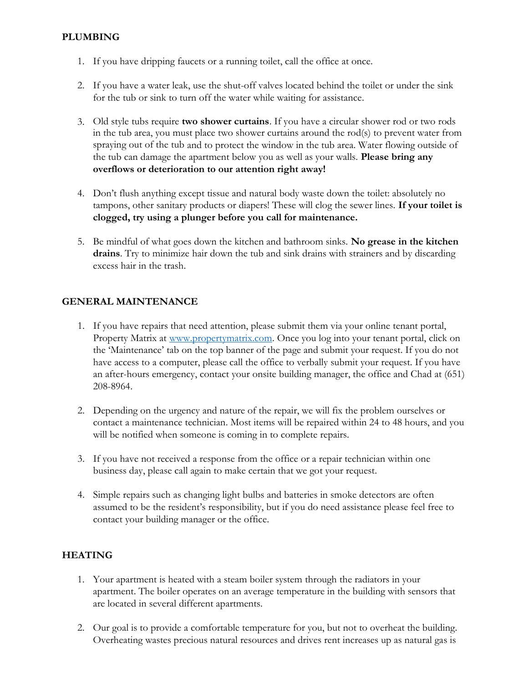#### PLUMBING

- 1. If you have dripping faucets or a running toilet, call the office at once.
- 2. If you have a water leak, use the shut-off valves located behind the toilet or under the sink for the tub or sink to turn off the water while waiting for assistance.
- 3. Old style tubs require two shower curtains. If you have a circular shower rod or two rods in the tub area, you must place two shower curtains around the rod(s) to prevent water from spraying out of the tub and to protect the window in the tub area. Water flowing outside of the tub can damage the apartment below you as well as your walls. **Please bring any** overflows or deterioration to our attention right away!
- 4. Don't flush anything except tissue and natural body waste down the toilet: absolutely no tampons, other sanitary products or diapers! These will clog the sewer lines. If your toilet is clogged, try using a plunger before you call for maintenance.
- 5. Be mindful of what goes down the kitchen and bathroom sinks. No grease in the kitchen drains. Try to minimize hair down the tub and sink drains with strainers and by discarding excess hair in the trash.

#### GENERAL MAINTENANCE

- 1. If you have repairs that need attention, please submit them via your online tenant portal, Property Matrix at www.propertymatrix.com. Once you log into your tenant portal, click on the 'Maintenance' tab on the top banner of the page and submit your request. If you do not have access to a computer, please call the office to verbally submit your request. If you have an after-hours emergency, contact your onsite building manager, the office and Chad at (651) 208-8964.
- 2. Depending on the urgency and nature of the repair, we will fix the problem ourselves or contact a maintenance technician. Most items will be repaired within 24 to 48 hours, and you will be notified when someone is coming in to complete repairs.
- 3. If you have not received a response from the office or a repair technician within one business day, please call again to make certain that we got your request.
- 4. Simple repairs such as changing light bulbs and batteries in smoke detectors are often assumed to be the resident's responsibility, but if you do need assistance please feel free to contact your building manager or the office.

### **HEATING**

- 1. Your apartment is heated with a steam boiler system through the radiators in your apartment. The boiler operates on an average temperature in the building with sensors that are located in several different apartments.
- 2. Our goal is to provide a comfortable temperature for you, but not to overheat the building. Overheating wastes precious natural resources and drives rent increases up as natural gas is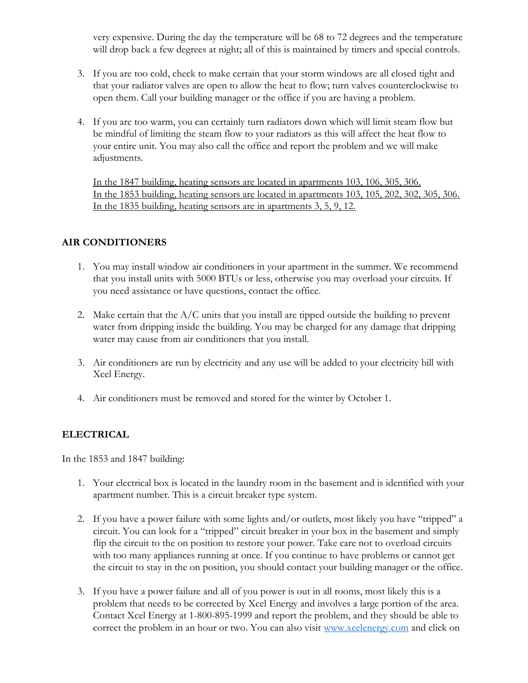very expensive. During the day the temperature will be 68 to 72 degrees and the temperature will drop back a few degrees at night; all of this is maintained by timers and special controls.

- 3. If you are too cold, check to make certain that your storm windows are all closed tight and that your radiator valves are open to allow the heat to flow; turn valves counterclockwise to open them. Call your building manager or the office if you are having a problem.
- 4. If you are too warm, you can certainly turn radiators down which will limit steam flow but be mindful of limiting the steam flow to your radiators as this will affect the heat flow to your entire unit. You may also call the office and report the problem and we will make adjustments.

In the 1847 building, heating sensors are located in apartments 103, 106, 305, 306. In the 1853 building, heating sensors are located in apartments 103, 105, 202, 302, 305, 306. In the 1835 building, heating sensors are in apartments 3, 5, 9, 12.

### AIR CONDITIONERS

- 1. You may install window air conditioners in your apartment in the summer. We recommend that you install units with 5000 BTUs or less, otherwise you may overload your circuits. If you need assistance or have questions, contact the office.
- 2. Make certain that the  $A/C$  units that you install are tipped outside the building to prevent water from dripping inside the building. You may be charged for any damage that dripping water may cause from air conditioners that you install.
- 3. Air conditioners are run by electricity and any use will be added to your electricity bill with Xcel Energy.
- 4. Air conditioners must be removed and stored for the winter by October 1.

## ELECTRICAL

In the 1853 and 1847 building:

- 1. Your electrical box is located in the laundry room in the basement and is identified with your apartment number. This is a circuit breaker type system.
- 2. If you have a power failure with some lights and/or outlets, most likely you have "tripped" a circuit. You can look for a "tripped" circuit breaker in your box in the basement and simply flip the circuit to the on position to restore your power. Take care not to overload circuits with too many appliances running at once. If you continue to have problems or cannot get the circuit to stay in the on position, you should contact your building manager or the office.
- 3. If you have a power failure and all of you power is out in all rooms, most likely this is a problem that needs to be corrected by Xcel Energy and involves a large portion of the area. Contact Xcel Energy at 1-800-895-1999 and report the problem, and they should be able to correct the problem in an hour or two. You can also visit www.xcelenergy.com and click on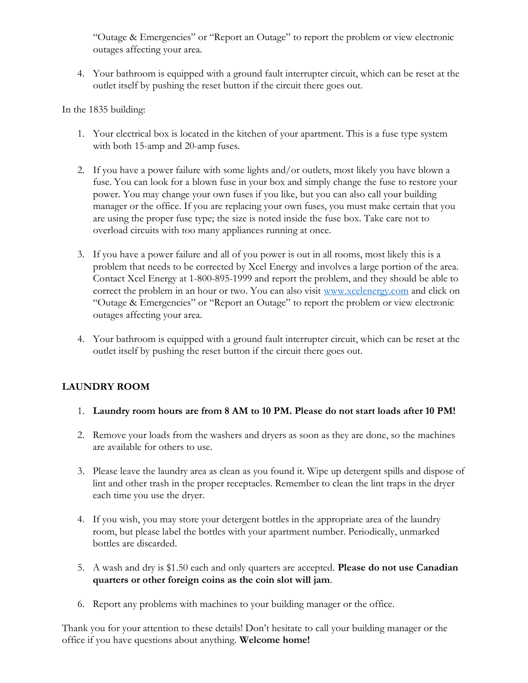"Outage & Emergencies" or "Report an Outage" to report the problem or view electronic outages affecting your area.

4. Your bathroom is equipped with a ground fault interrupter circuit, which can be reset at the outlet itself by pushing the reset button if the circuit there goes out.

In the 1835 building:

- 1. Your electrical box is located in the kitchen of your apartment. This is a fuse type system with both 15-amp and 20-amp fuses.
- 2. If you have a power failure with some lights and/or outlets, most likely you have blown a fuse. You can look for a blown fuse in your box and simply change the fuse to restore your power. You may change your own fuses if you like, but you can also call your building manager or the office. If you are replacing your own fuses, you must make certain that you are using the proper fuse type; the size is noted inside the fuse box. Take care not to overload circuits with too many appliances running at once.
- 3. If you have a power failure and all of you power is out in all rooms, most likely this is a problem that needs to be corrected by Xcel Energy and involves a large portion of the area. Contact Xcel Energy at 1-800-895-1999 and report the problem, and they should be able to correct the problem in an hour or two. You can also visit www.xcelenergy.com and click on "Outage & Emergencies" or "Report an Outage" to report the problem or view electronic outages affecting your area.
- 4. Your bathroom is equipped with a ground fault interrupter circuit, which can be reset at the outlet itself by pushing the reset button if the circuit there goes out.

## LAUNDRY ROOM

- 1. Laundry room hours are from 8 AM to 10 PM. Please do not start loads after 10 PM!
- 2. Remove your loads from the washers and dryers as soon as they are done, so the machines are available for others to use.
- 3. Please leave the laundry area as clean as you found it. Wipe up detergent spills and dispose of lint and other trash in the proper receptacles. Remember to clean the lint traps in the dryer each time you use the dryer.
- 4. If you wish, you may store your detergent bottles in the appropriate area of the laundry room, but please label the bottles with your apartment number. Periodically, unmarked bottles are discarded.
- 5. A wash and dry is \$1.50 each and only quarters are accepted. **Please do not use Canadian** quarters or other foreign coins as the coin slot will jam.
- 6. Report any problems with machines to your building manager or the office.

Thank you for your attention to these details! Don't hesitate to call your building manager or the office if you have questions about anything. Welcome home!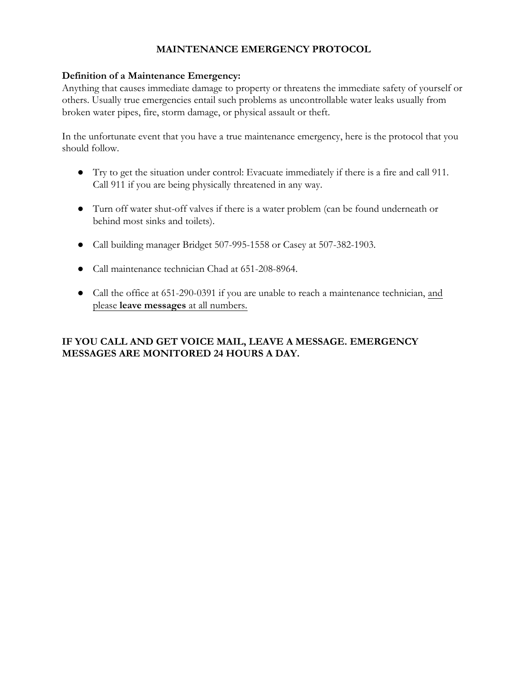### MAINTENANCE EMERGENCY PROTOCOL

#### Definition of a Maintenance Emergency:

Anything that causes immediate damage to property or threatens the immediate safety of yourself or others. Usually true emergencies entail such problems as uncontrollable water leaks usually from broken water pipes, fire, storm damage, or physical assault or theft.

In the unfortunate event that you have a true maintenance emergency, here is the protocol that you should follow.

- Try to get the situation under control: Evacuate immediately if there is a fire and call 911. Call 911 if you are being physically threatened in any way.
- Turn off water shut-off valves if there is a water problem (can be found underneath or behind most sinks and toilets).
- Call building manager Bridget 507-995-1558 or Casey at 507-382-1903.
- Call maintenance technician Chad at 651-208-8964.
- Call the office at 651-290-0391 if you are unable to reach a maintenance technician, and please leave messages at all numbers.

## IF YOU CALL AND GET VOICE MAIL, LEAVE A MESSAGE. EMERGENCY MESSAGES ARE MONITORED 24 HOURS A DAY.